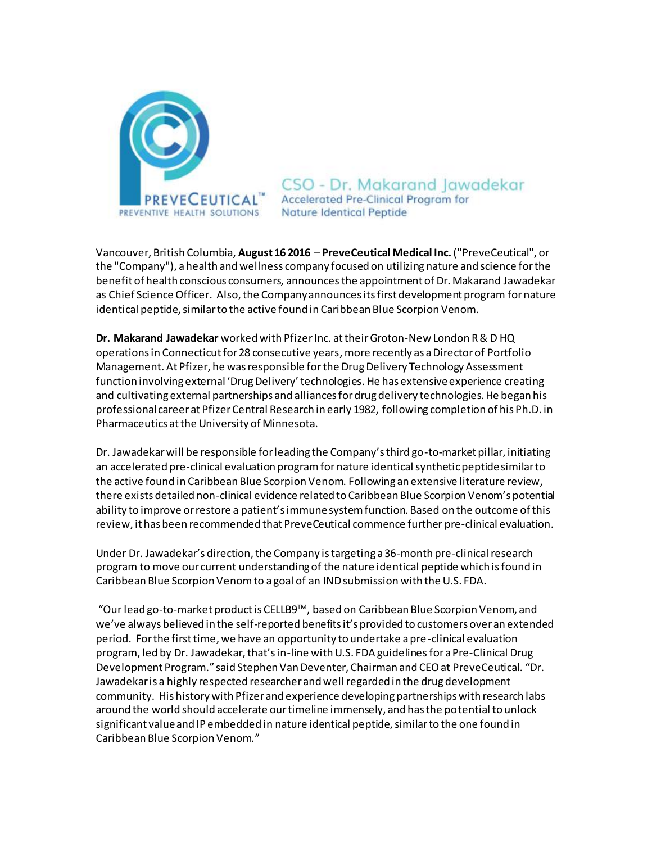

CSO - Dr. Makarand Jawadekar **Accelerated Pre-Clinical Program for Nature Identical Peptide** 

Vancouver, British Columbia, **August 16 2016** – **PreveCeutical Medical Inc.**("PreveCeutical", or the "Company"), a health and wellness company focused on utilizing nature and science for the benefit of health conscious consumers, announcesthe appointment of Dr. Makarand Jawadekar as Chief Science Officer. Also, the Company announces its first development program for nature identical peptide, similar to the active found in Caribbean Blue Scorpion Venom.

**Dr. Makarand Jawadekar** worked with Pfizer Inc. at their Groton-New London R & D HQ operations in Connecticut for 28 consecutive years,more recently as a Director of Portfolio Management. At Pfizer, he was responsible for the Drug Delivery Technology Assessment function involving external 'Drug Delivery' technologies. He has extensive experience creating and cultivating external partnerships and alliances for drug delivery technologies. He began his professional career at Pfizer Central Research in early 1982, following completion of his Ph.D. in Pharmaceutics at the University of Minnesota.

Dr. Jawadekar will be responsible for leading the Company's third go-to-market pillar, initiating an accelerated pre-clinical evaluation program for nature identical synthetic peptide similar to the active found in Caribbean Blue Scorpion Venom. Following an extensive literature review, there exists detailed non-clinical evidence related to Caribbean Blue Scorpion Venom's potential ability to improve or restore a patient's immune system function. Based on the outcome of this review, it has been recommended that PreveCeutical commence further pre-clinical evaluation.

Under Dr. Jawadekar's direction, the Company is targeting a 36-month pre-clinical research program to move our current understanding of the nature identical peptide which is found in Caribbean Blue Scorpion Venom to a goal of an IND submission with the U.S. FDA.

"Our lead go-to-market product is CELLB9TM, based on Caribbean Blue Scorpion Venom, and we've always believed in the self-reported benefits it's provided to customers over an extended period. For the first time, we have an opportunity to undertake a pre-clinical evaluation program, led by Dr. Jawadekar, that's in-line with U.S. FDA guidelinesfor a Pre-Clinical Drug Development Program." said Stephen Van Deventer, Chairman and CEO at PreveCeutical. "Dr. Jawadekar is a highly respected researcher and well regarded in the drug development community. His history with Pfizer and experience developing partnerships with research labs around the world should accelerate our timeline immensely, and has the potential to unlock significant value and IP embedded in nature identical peptide, similar to the one found in Caribbean Blue Scorpion Venom."